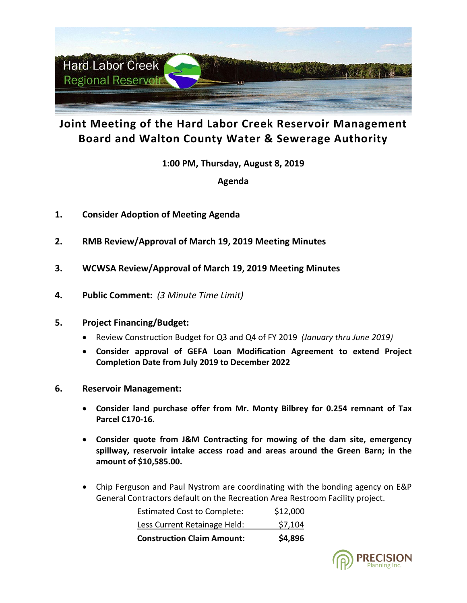

## **Joint Meeting of the Hard Labor Creek Reservoir Management Board and Walton County Water & Sewerage Authority**

**1:00 PM, Thursday, August 8, 2019**

**Agenda**

- **1. Consider Adoption of Meeting Agenda**
- **2. RMB Review/Approval of March 19, 2019 Meeting Minutes**
- **3. WCWSA Review/Approval of March 19, 2019 Meeting Minutes**
- **4. Public Comment:** *(3 Minute Time Limit)*
- **5. Project Financing/Budget:**
	- Review Construction Budget for Q3 and Q4 of FY 2019 *(January thru June 2019)*
	- **Consider approval of GEFA Loan Modification Agreement to extend Project Completion Date from July 2019 to December 2022**
- **6. Reservoir Management:**
	- **Consider land purchase offer from Mr. Monty Bilbrey for 0.254 remnant of Tax Parcel C170-16.**
	- **Consider quote from J&M Contracting for mowing of the dam site, emergency spillway, reservoir intake access road and areas around the Green Barn; in the amount of \$10,585.00.**
	- Chip Ferguson and Paul Nystrom are coordinating with the bonding agency on E&P General Contractors default on the Recreation Area Restroom Facility project.

| <b>Construction Claim Amount:</b>  | \$4,896  |
|------------------------------------|----------|
| Less Current Retainage Held:       | \$7,104  |
| <b>Estimated Cost to Complete:</b> | \$12,000 |